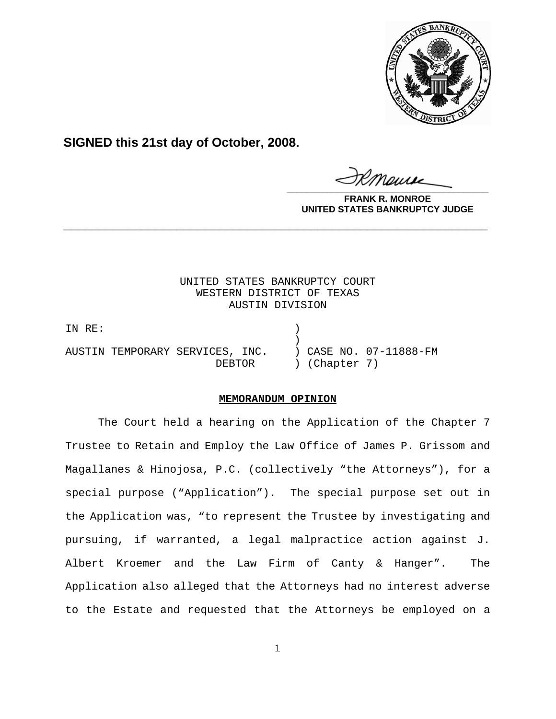

**SIGNED this 21st day of October, 2008.**

**\_\_\_\_\_\_\_\_\_\_\_\_\_\_\_\_\_\_\_\_\_\_\_\_\_\_\_\_\_\_\_\_\_\_\_\_\_\_\_\_**

**FRANK R. MONROE UNITED STATES BANKRUPTCY JUDGE**

UNITED STATES BANKRUPTCY COURT WESTERN DISTRICT OF TEXAS AUSTIN DIVISION

**\_\_\_\_\_\_\_\_\_\_\_\_\_\_\_\_\_\_\_\_\_\_\_\_\_\_\_\_\_\_\_\_\_\_\_\_\_\_\_\_\_\_\_\_\_\_\_\_\_\_\_\_\_\_\_\_\_\_\_\_**

IN RE: )  $)$ AUSTIN TEMPORARY SERVICES, INC. ) CASE NO. 07-11888-FM DEBTOR ) (Chapter 7)

## **MEMORANDUM OPINION**

The Court held a hearing on the Application of the Chapter 7 Trustee to Retain and Employ the Law Office of James P. Grissom and Magallanes & Hinojosa, P.C. (collectively "the Attorneys"), for a special purpose ("Application"). The special purpose set out in the Application was, "to represent the Trustee by investigating and pursuing, if warranted, a legal malpractice action against J. Albert Kroemer and the Law Firm of Canty & Hanger". The Application also alleged that the Attorneys had no interest adverse to the Estate and requested that the Attorneys be employed on a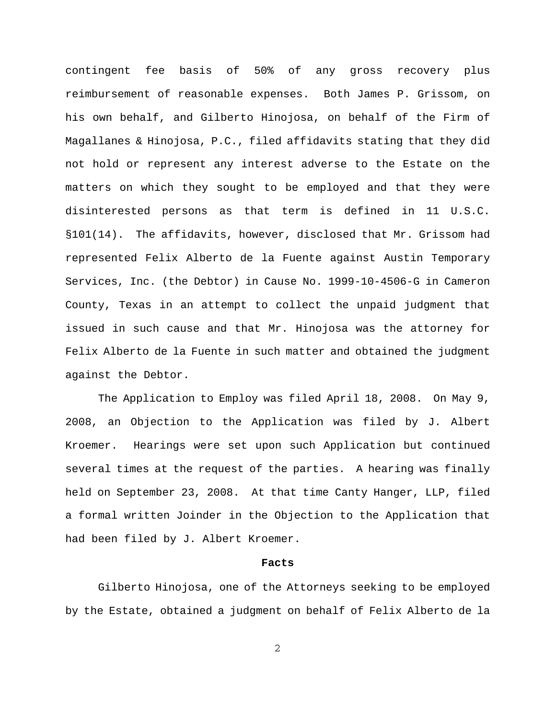contingent fee basis of 50% of any gross recovery plus reimbursement of reasonable expenses. Both James P. Grissom, on his own behalf, and Gilberto Hinojosa, on behalf of the Firm of Magallanes & Hinojosa, P.C., filed affidavits stating that they did not hold or represent any interest adverse to the Estate on the matters on which they sought to be employed and that they were disinterested persons as that term is defined in 11 U.S.C. §101(14). The affidavits, however, disclosed that Mr. Grissom had represented Felix Alberto de la Fuente against Austin Temporary Services, Inc. (the Debtor) in Cause No. 1999-10-4506-G in Cameron County, Texas in an attempt to collect the unpaid judgment that issued in such cause and that Mr. Hinojosa was the attorney for Felix Alberto de la Fuente in such matter and obtained the judgment against the Debtor.

The Application to Employ was filed April 18, 2008. On May 9, 2008, an Objection to the Application was filed by J. Albert Kroemer. Hearings were set upon such Application but continued several times at the request of the parties. A hearing was finally held on September 23, 2008. At that time Canty Hanger, LLP, filed a formal written Joinder in the Objection to the Application that had been filed by J. Albert Kroemer.

## **Facts**

Gilberto Hinojosa, one of the Attorneys seeking to be employed by the Estate, obtained a judgment on behalf of Felix Alberto de la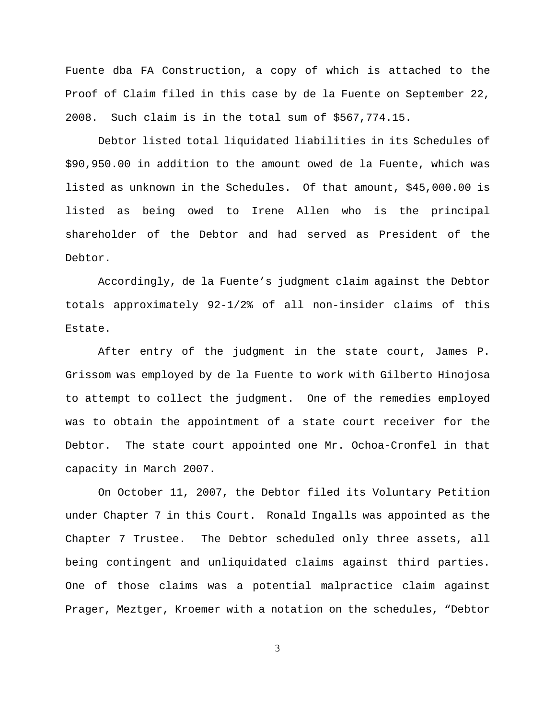Fuente dba FA Construction, a copy of which is attached to the Proof of Claim filed in this case by de la Fuente on September 22, 2008. Such claim is in the total sum of \$567,774.15.

Debtor listed total liquidated liabilities in its Schedules of \$90,950.00 in addition to the amount owed de la Fuente, which was listed as unknown in the Schedules. Of that amount, \$45,000.00 is listed as being owed to Irene Allen who is the principal shareholder of the Debtor and had served as President of the Debtor.

Accordingly, de la Fuente's judgment claim against the Debtor totals approximately 92-1/2% of all non-insider claims of this Estate.

After entry of the judgment in the state court, James P. Grissom was employed by de la Fuente to work with Gilberto Hinojosa to attempt to collect the judgment. One of the remedies employed was to obtain the appointment of a state court receiver for the Debtor. The state court appointed one Mr. Ochoa-Cronfel in that capacity in March 2007.

On October 11, 2007, the Debtor filed its Voluntary Petition under Chapter 7 in this Court. Ronald Ingalls was appointed as the Chapter 7 Trustee. The Debtor scheduled only three assets, all being contingent and unliquidated claims against third parties. One of those claims was a potential malpractice claim against Prager, Meztger, Kroemer with a notation on the schedules, "Debtor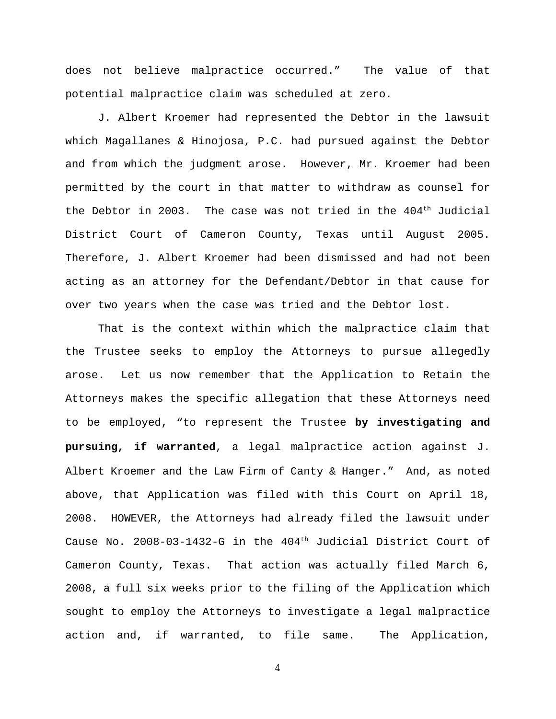does not believe malpractice occurred." The value of that potential malpractice claim was scheduled at zero.

J. Albert Kroemer had represented the Debtor in the lawsuit which Magallanes & Hinojosa, P.C. had pursued against the Debtor and from which the judgment arose. However, Mr. Kroemer had been permitted by the court in that matter to withdraw as counsel for the Debtor in 2003. The case was not tried in the 404<sup>th</sup> Judicial District Court of Cameron County, Texas until August 2005. Therefore, J. Albert Kroemer had been dismissed and had not been acting as an attorney for the Defendant/Debtor in that cause for over two years when the case was tried and the Debtor lost.

That is the context within which the malpractice claim that the Trustee seeks to employ the Attorneys to pursue allegedly arose. Let us now remember that the Application to Retain the Attorneys makes the specific allegation that these Attorneys need to be employed, "to represent the Trustee **by investigating and pursuing, if warranted**, a legal malpractice action against J. Albert Kroemer and the Law Firm of Canty & Hanger." And, as noted above, that Application was filed with this Court on April 18, 2008. HOWEVER, the Attorneys had already filed the lawsuit under Cause No. 2008-03-1432-G in the 404<sup>th</sup> Judicial District Court of Cameron County, Texas. That action was actually filed March 6, 2008, a full six weeks prior to the filing of the Application which sought to employ the Attorneys to investigate a legal malpractice action and, if warranted, to file same. The Application,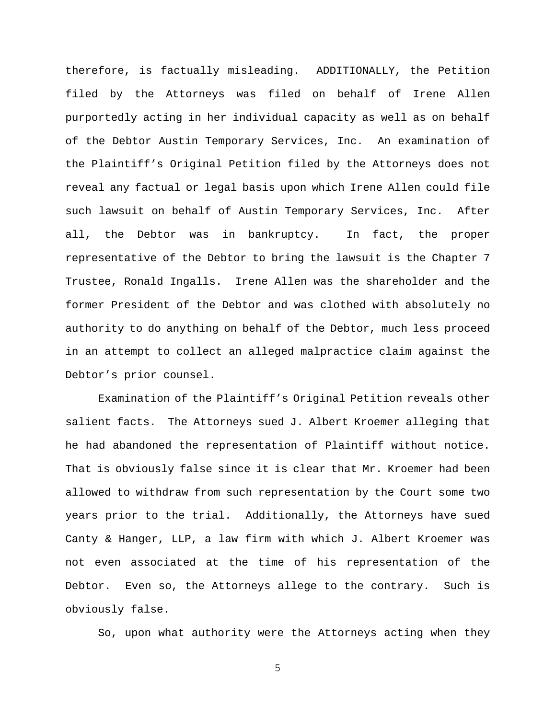therefore, is factually misleading. ADDITIONALLY, the Petition filed by the Attorneys was filed on behalf of Irene Allen purportedly acting in her individual capacity as well as on behalf of the Debtor Austin Temporary Services, Inc. An examination of the Plaintiff's Original Petition filed by the Attorneys does not reveal any factual or legal basis upon which Irene Allen could file such lawsuit on behalf of Austin Temporary Services, Inc. After all, the Debtor was in bankruptcy. In fact, the proper representative of the Debtor to bring the lawsuit is the Chapter 7 Trustee, Ronald Ingalls. Irene Allen was the shareholder and the former President of the Debtor and was clothed with absolutely no authority to do anything on behalf of the Debtor, much less proceed in an attempt to collect an alleged malpractice claim against the Debtor's prior counsel.

Examination of the Plaintiff's Original Petition reveals other salient facts. The Attorneys sued J. Albert Kroemer alleging that he had abandoned the representation of Plaintiff without notice. That is obviously false since it is clear that Mr. Kroemer had been allowed to withdraw from such representation by the Court some two years prior to the trial. Additionally, the Attorneys have sued Canty & Hanger, LLP, a law firm with which J. Albert Kroemer was not even associated at the time of his representation of the Debtor. Even so, the Attorneys allege to the contrary. Such is obviously false.

So, upon what authority were the Attorneys acting when they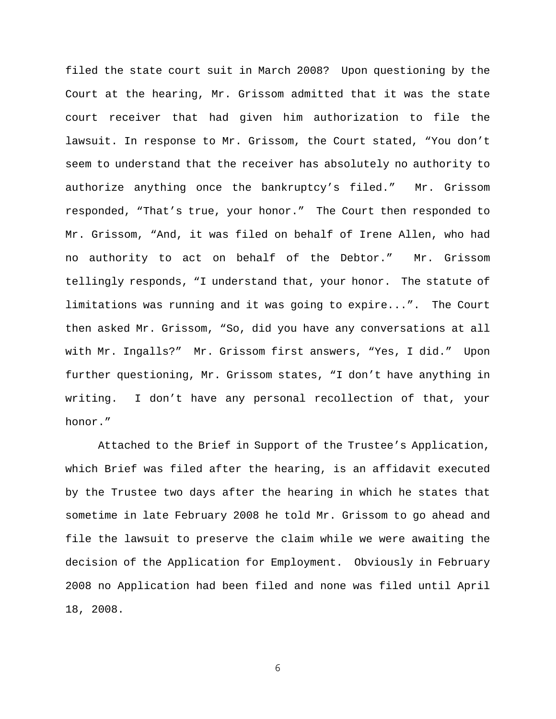filed the state court suit in March 2008? Upon questioning by the Court at the hearing, Mr. Grissom admitted that it was the state court receiver that had given him authorization to file the lawsuit. In response to Mr. Grissom, the Court stated, "You don't seem to understand that the receiver has absolutely no authority to authorize anything once the bankruptcy's filed." Mr. Grissom responded, "That's true, your honor." The Court then responded to Mr. Grissom, "And, it was filed on behalf of Irene Allen, who had no authority to act on behalf of the Debtor." Mr. Grissom tellingly responds, "I understand that, your honor. The statute of limitations was running and it was going to expire...". The Court then asked Mr. Grissom, "So, did you have any conversations at all with Mr. Ingalls?" Mr. Grissom first answers, "Yes, I did." Upon further questioning, Mr. Grissom states, "I don't have anything in writing. I don't have any personal recollection of that, your honor."

Attached to the Brief in Support of the Trustee's Application, which Brief was filed after the hearing, is an affidavit executed by the Trustee two days after the hearing in which he states that sometime in late February 2008 he told Mr. Grissom to go ahead and file the lawsuit to preserve the claim while we were awaiting the decision of the Application for Employment. Obviously in February 2008 no Application had been filed and none was filed until April 18, 2008.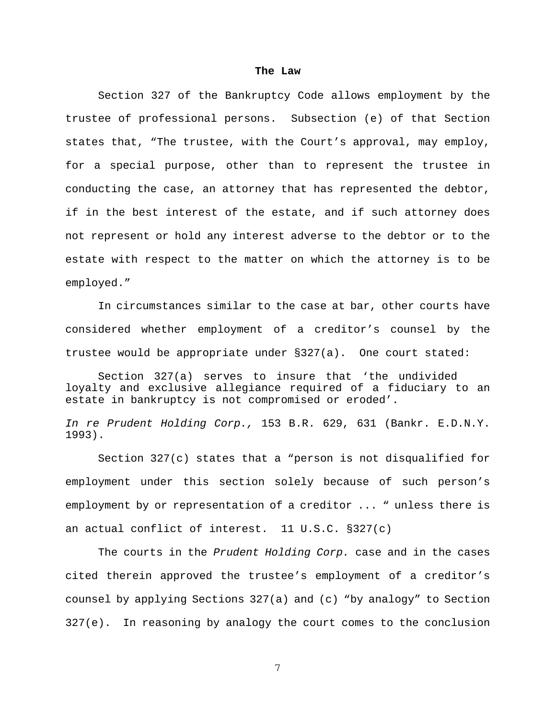## **The Law**

Section 327 of the Bankruptcy Code allows employment by the trustee of professional persons. Subsection (e) of that Section states that, "The trustee, with the Court's approval, may employ, for a special purpose, other than to represent the trustee in conducting the case, an attorney that has represented the debtor, if in the best interest of the estate, and if such attorney does not represent or hold any interest adverse to the debtor or to the estate with respect to the matter on which the attorney is to be employed."

In circumstances similar to the case at bar, other courts have considered whether employment of a creditor's counsel by the trustee would be appropriate under §327(a). One court stated:

Section 327(a) serves to insure that 'the undivided loyalty and exclusive allegiance required of a fiduciary to an estate in bankruptcy is not compromised or eroded'.

*In re Prudent Holding Corp.,* 153 B.R. 629, 631 (Bankr. E.D.N.Y. 1993).

Section 327(c) states that a "person is not disqualified for employment under this section solely because of such person's employment by or representation of a creditor ... " unless there is an actual conflict of interest. 11 U.S.C. §327(c)

The courts in the *Prudent Holding Corp.* case and in the cases cited therein approved the trustee's employment of a creditor's counsel by applying Sections 327(a) and (c) "by analogy" to Section 327(e). In reasoning by analogy the court comes to the conclusion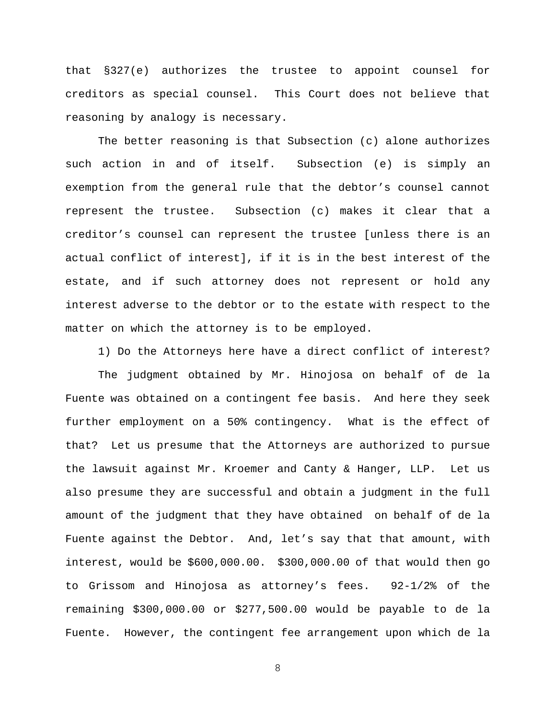that §327(e) authorizes the trustee to appoint counsel for creditors as special counsel. This Court does not believe that reasoning by analogy is necessary.

The better reasoning is that Subsection (c) alone authorizes such action in and of itself. Subsection (e) is simply an exemption from the general rule that the debtor's counsel cannot represent the trustee. Subsection (c) makes it clear that a creditor's counsel can represent the trustee [unless there is an actual conflict of interest], if it is in the best interest of the estate, and if such attorney does not represent or hold any interest adverse to the debtor or to the estate with respect to the matter on which the attorney is to be employed.

1) Do the Attorneys here have a direct conflict of interest?

The judgment obtained by Mr. Hinojosa on behalf of de la Fuente was obtained on a contingent fee basis. And here they seek further employment on a 50% contingency. What is the effect of that? Let us presume that the Attorneys are authorized to pursue the lawsuit against Mr. Kroemer and Canty & Hanger, LLP. Let us also presume they are successful and obtain a judgment in the full amount of the judgment that they have obtained on behalf of de la Fuente against the Debtor. And, let's say that that amount, with interest, would be \$600,000.00. \$300,000.00 of that would then go to Grissom and Hinojosa as attorney's fees. 92-1/2% of the remaining \$300,000.00 or \$277,500.00 would be payable to de la Fuente. However, the contingent fee arrangement upon which de la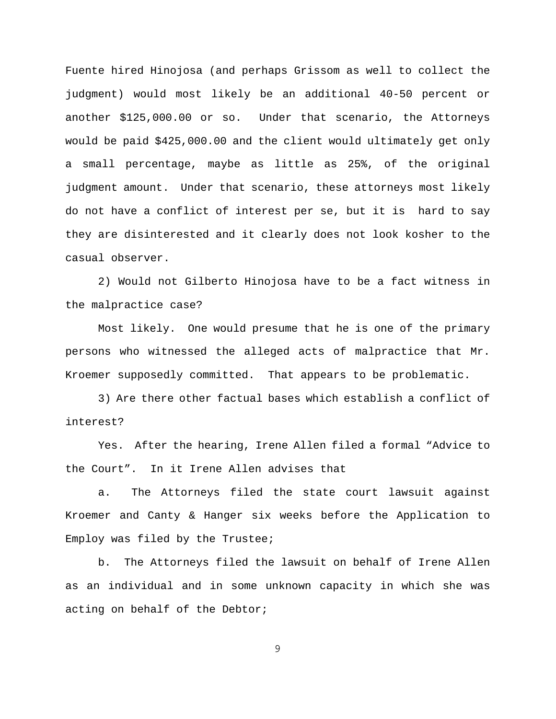Fuente hired Hinojosa (and perhaps Grissom as well to collect the judgment) would most likely be an additional 40-50 percent or another \$125,000.00 or so. Under that scenario, the Attorneys would be paid \$425,000.00 and the client would ultimately get only a small percentage, maybe as little as 25%, of the original judgment amount. Under that scenario, these attorneys most likely do not have a conflict of interest per se, but it is hard to say they are disinterested and it clearly does not look kosher to the casual observer.

2) Would not Gilberto Hinojosa have to be a fact witness in the malpractice case?

Most likely. One would presume that he is one of the primary persons who witnessed the alleged acts of malpractice that Mr. Kroemer supposedly committed. That appears to be problematic.

3) Are there other factual bases which establish a conflict of interest?

Yes. After the hearing, Irene Allen filed a formal "Advice to the Court". In it Irene Allen advises that

a. The Attorneys filed the state court lawsuit against Kroemer and Canty & Hanger six weeks before the Application to Employ was filed by the Trustee;

b. The Attorneys filed the lawsuit on behalf of Irene Allen as an individual and in some unknown capacity in which she was acting on behalf of the Debtor;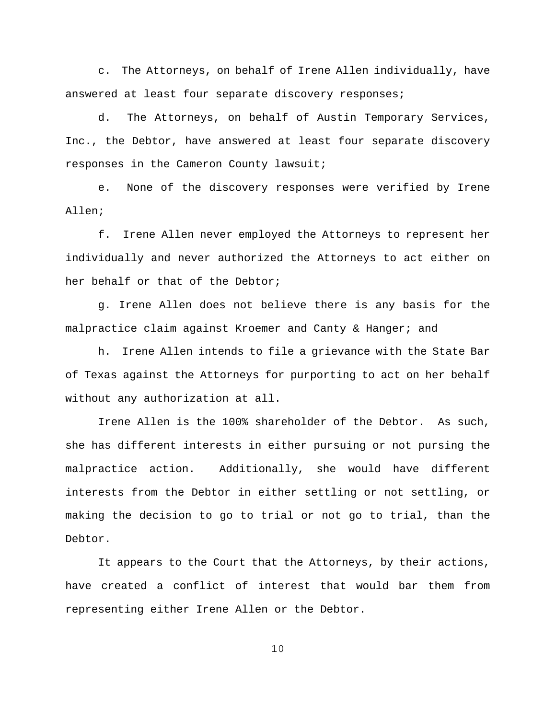c. The Attorneys, on behalf of Irene Allen individually, have answered at least four separate discovery responses;

d. The Attorneys, on behalf of Austin Temporary Services, Inc., the Debtor, have answered at least four separate discovery responses in the Cameron County lawsuit;

e. None of the discovery responses were verified by Irene Allen;

f. Irene Allen never employed the Attorneys to represent her individually and never authorized the Attorneys to act either on her behalf or that of the Debtor;

g. Irene Allen does not believe there is any basis for the malpractice claim against Kroemer and Canty & Hanger; and

h. Irene Allen intends to file a grievance with the State Bar of Texas against the Attorneys for purporting to act on her behalf without any authorization at all.

Irene Allen is the 100% shareholder of the Debtor. As such, she has different interests in either pursuing or not pursing the malpractice action. Additionally, she would have different interests from the Debtor in either settling or not settling, or making the decision to go to trial or not go to trial, than the Debtor.

It appears to the Court that the Attorneys, by their actions, have created a conflict of interest that would bar them from representing either Irene Allen or the Debtor.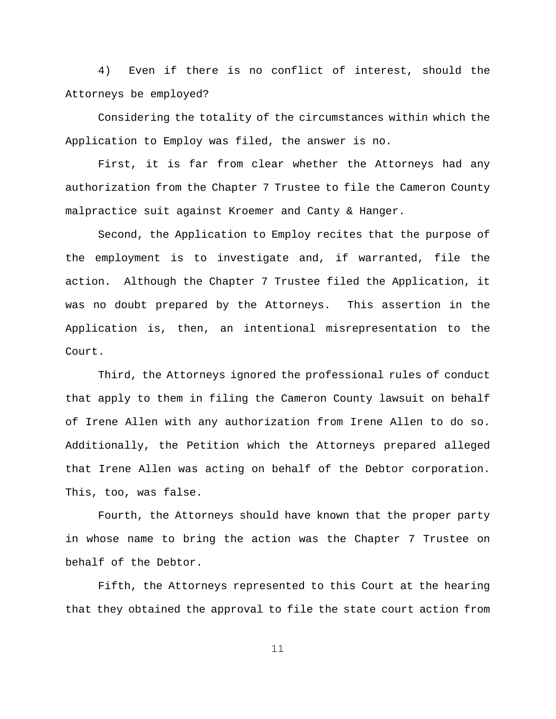4) Even if there is no conflict of interest, should the Attorneys be employed?

Considering the totality of the circumstances within which the Application to Employ was filed, the answer is no.

First, it is far from clear whether the Attorneys had any authorization from the Chapter 7 Trustee to file the Cameron County malpractice suit against Kroemer and Canty & Hanger.

Second, the Application to Employ recites that the purpose of the employment is to investigate and, if warranted, file the action. Although the Chapter 7 Trustee filed the Application, it was no doubt prepared by the Attorneys. This assertion in the Application is, then, an intentional misrepresentation to the Court.

Third, the Attorneys ignored the professional rules of conduct that apply to them in filing the Cameron County lawsuit on behalf of Irene Allen with any authorization from Irene Allen to do so. Additionally, the Petition which the Attorneys prepared alleged that Irene Allen was acting on behalf of the Debtor corporation. This, too, was false.

Fourth, the Attorneys should have known that the proper party in whose name to bring the action was the Chapter 7 Trustee on behalf of the Debtor.

Fifth, the Attorneys represented to this Court at the hearing that they obtained the approval to file the state court action from